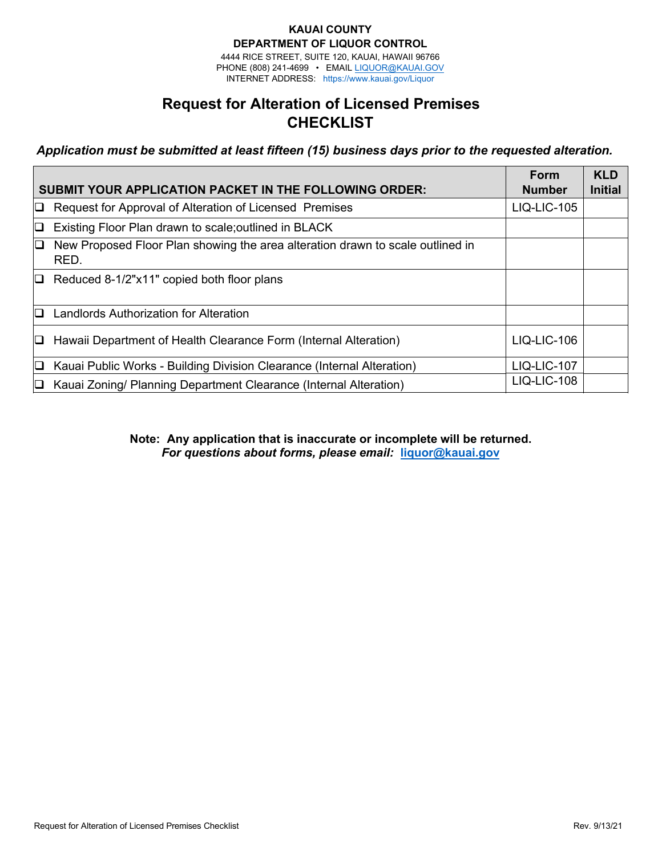#### **KAUAI COUNTY DEPARTMENT OF LIQUOR CONTROL**

4444 RICE STREET, SUITE 120, KAUAI, HAWAII 96766 PHONE (808) 241-4699 • EMAIL L[IQUOR@KAUAI.GOV](mailto:HLC@honolulu.gov) INTERNET ADDRESS: htt[ps://www.kauai.gov/Liq](http://www.honolulu.gov/liq)uor

# **Request for Alteration of Licensed Premises CHECKLIST**

*Application must be submitted at least fifteen (15) business days prior to the requested alteration.* 

| <b>SUBMIT YOUR APPLICATION PACKET IN THE FOLLOWING ORDER:</b> |                                                                                        |                    | <b>KLD</b><br><b>Initial</b> |
|---------------------------------------------------------------|----------------------------------------------------------------------------------------|--------------------|------------------------------|
| IQ.                                                           | Request for Approval of Alteration of Licensed Premises                                | <b>LIQ-LIC-105</b> |                              |
| O                                                             | Existing Floor Plan drawn to scale; outlined in BLACK                                  |                    |                              |
| 10.                                                           | New Proposed Floor Plan showing the area alteration drawn to scale outlined in<br>RED. |                    |                              |
|                                                               | $\Box$ Reduced 8-1/2"x11" copied both floor plans                                      |                    |                              |
| $\Box$                                                        | Landlords Authorization for Alteration                                                 |                    |                              |
| D.                                                            | Hawaii Department of Health Clearance Form (Internal Alteration)                       | $LIQ-LIC-106$      |                              |
| IQ.                                                           | Kauai Public Works - Building Division Clearance (Internal Alteration)                 | <b>LIQ-LIC-107</b> |                              |
| O.                                                            | Kauai Zoning/ Planning Department Clearance (Internal Alteration)                      | LIQ-LIC-108        |                              |

**Note: Any application that is inaccurate or incomplete will be returned.** *For questions about forms, please email:* **liquor@kauai.gov**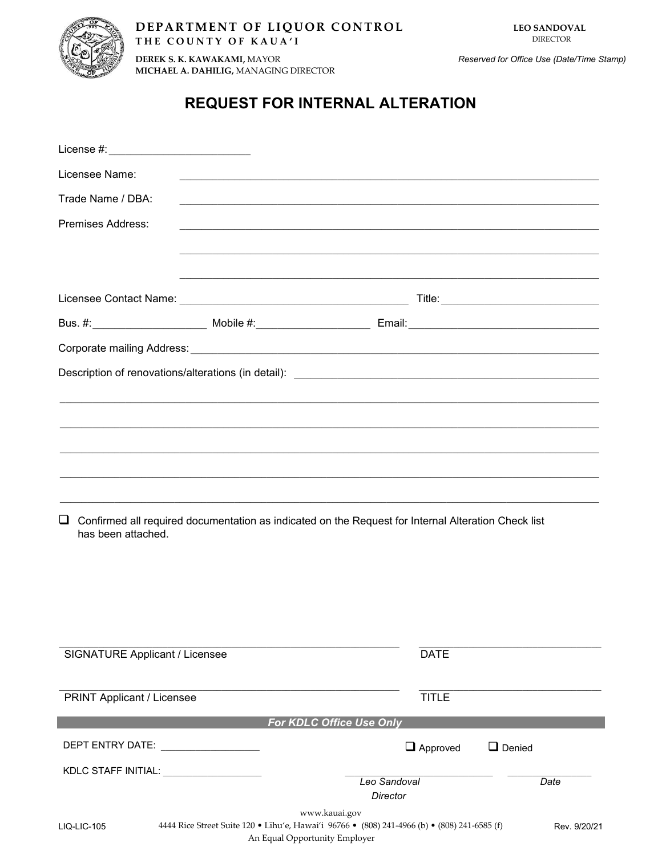

**DEREK S. K. KAWAKAMI,** MAYOR **MICHAEL A. DAHILIG,** MANAGING DIRECTOR

## **REQUEST FOR INTERNAL ALTERATION**

| Licensee Name:                                       | <u> 1989 - Johann John Harry Harry Harry Harry Harry Harry Harry Harry Harry Harry Harry Harry Harry Harry Harry</u>                           |                          |               |              |
|------------------------------------------------------|------------------------------------------------------------------------------------------------------------------------------------------------|--------------------------|---------------|--------------|
| Trade Name / DBA:                                    | <u> 1989 - Jan James James James James James James James James James James James James James James James James</u>                             |                          |               |              |
| <b>Premises Address:</b>                             |                                                                                                                                                |                          |               |              |
|                                                      |                                                                                                                                                |                          |               |              |
|                                                      |                                                                                                                                                |                          |               |              |
|                                                      |                                                                                                                                                |                          |               |              |
|                                                      |                                                                                                                                                |                          |               |              |
|                                                      |                                                                                                                                                |                          |               |              |
|                                                      |                                                                                                                                                |                          |               |              |
|                                                      |                                                                                                                                                |                          |               |              |
|                                                      |                                                                                                                                                |                          |               |              |
|                                                      | ,我们也不能会在这里,我们的人们就会在这里,我们也不会在这里,我们也不会在这里,我们也不会在这里,我们也不会在这里,我们也不会在这里,我们也不会在这里,我们也不                                                               |                          |               |              |
|                                                      |                                                                                                                                                |                          |               |              |
|                                                      |                                                                                                                                                |                          |               |              |
| Q.<br>has been attached.                             | Confirmed all required documentation as indicated on the Request for Internal Alteration Check list                                            |                          |               |              |
| <b>SIGNATURE Applicant / Licensee</b>                |                                                                                                                                                | <b>DATE</b>              |               |              |
| <b>PRINT Applicant / Licensee</b>                    |                                                                                                                                                | <b>TITLE</b>             |               |              |
|                                                      | For KDLC Office Use Only                                                                                                                       |                          |               |              |
|                                                      |                                                                                                                                                | $\Box$ Approved          | $\Box$ Denied |              |
| KDLC STAFF INITIAL: University of the STAFF INITIAL: |                                                                                                                                                |                          |               |              |
|                                                      |                                                                                                                                                | Leo Sandoval<br>Director |               | Date         |
| <b>LIQ-LIC-105</b>                                   | www.kauai.gov<br>4444 Rice Street Suite 120 • Līhu'e, Hawai'i 96766 • (808) 241-4966 (b) • (808) 241-6585 (f)<br>An Equal Opportunity Employer |                          |               | Rev. 9/20/21 |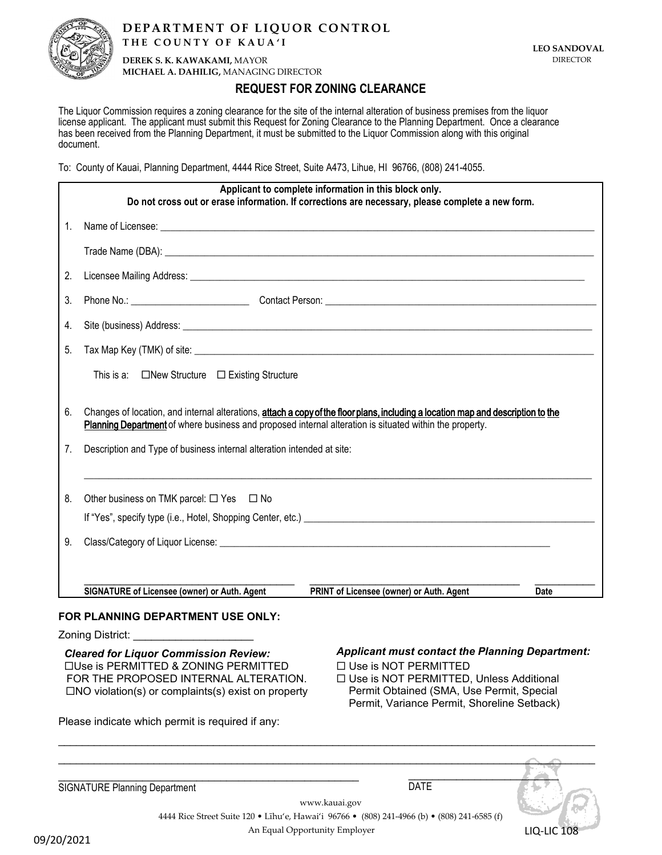

**DEREK S. K. KAWAKAMI,** MAYOR **MICHAEL A. DAHILIG,** MANAGING DIRECTOR

## **REQUEST FOR ZONING CLEARANCE**

The Liquor Commission requires a zoning clearance for the site of the internal alteration of business premises from the liquor license applicant. The applicant must submit this Request for Zoning Clearance to the Planning Department. Once a clearance has been received from the Planning Department, it must be submitted to the Liquor Commission along with this original document.

To: County of Kauai, Planning Department, 4444 Rice Street, Suite A473, Lihue, HI 96766, (808) 241-4055.

|                  | Applicant to complete information in this block only.<br>Do not cross out or erase information. If corrections are necessary, please complete a new form.                                                                                   |
|------------------|---------------------------------------------------------------------------------------------------------------------------------------------------------------------------------------------------------------------------------------------|
| $1_{\cdot}$      |                                                                                                                                                                                                                                             |
|                  |                                                                                                                                                                                                                                             |
| 2.               |                                                                                                                                                                                                                                             |
| 3.               |                                                                                                                                                                                                                                             |
| $\overline{4}$ . |                                                                                                                                                                                                                                             |
| 5.               |                                                                                                                                                                                                                                             |
|                  | This is a: □New Structure □ Existing Structure                                                                                                                                                                                              |
| 6.               | Changes of location, and internal alterations, attach a copy of the floor plans, including a location map and description to the<br>Planning Department of where business and proposed internal alteration is situated within the property. |
| 7.               | Description and Type of business internal alteration intended at site:                                                                                                                                                                      |
| 8.               | Other business on TMK parcel: $\Box$ Yes $\Box$ No                                                                                                                                                                                          |
| 9.               |                                                                                                                                                                                                                                             |
|                  | SIGNATURE of Licensee (owner) or Auth. Agent<br>PRINT of Licensee (owner) or Auth. Agent<br><b>Date</b>                                                                                                                                     |
|                  | FOR PLANNING DEPARTMENT USE ONLY:                                                                                                                                                                                                           |
|                  | Zoning District:                                                                                                                                                                                                                            |

Use is PERMITTED & ZONING PERMITTED FOR THE PROPOSED INTERNAL ALTERATION.  $\Box$ NO violation(s) or complaints(s) exist on property

Please indicate which permit is required if any:

### *Cleared Applicant must contact the Planning Department: for Liquor Commission Review:*

Use is NOT PERMITTED

□ Use is NOT PERMITTED, Unless Additional Permit Obtained (SMA, Use Permit, Special Permit, Variance Permit, Shoreline Setback)

| <b>SIGNATURE Planning Department</b> | <b>DATE</b>                                                                                  |                    |
|--------------------------------------|----------------------------------------------------------------------------------------------|--------------------|
|                                      | www.kauai.gov                                                                                |                    |
|                                      | 4444 Rice Street Suite 120 • Līhu'e, Hawai'i 96766 • (808) 241-4966 (b) • (808) 241-6585 (f) |                    |
| An Equal Opportunity Employer        |                                                                                              | <b>LIQ-LIC 108</b> |
| <u>12021 הו</u>                      |                                                                                              |                    |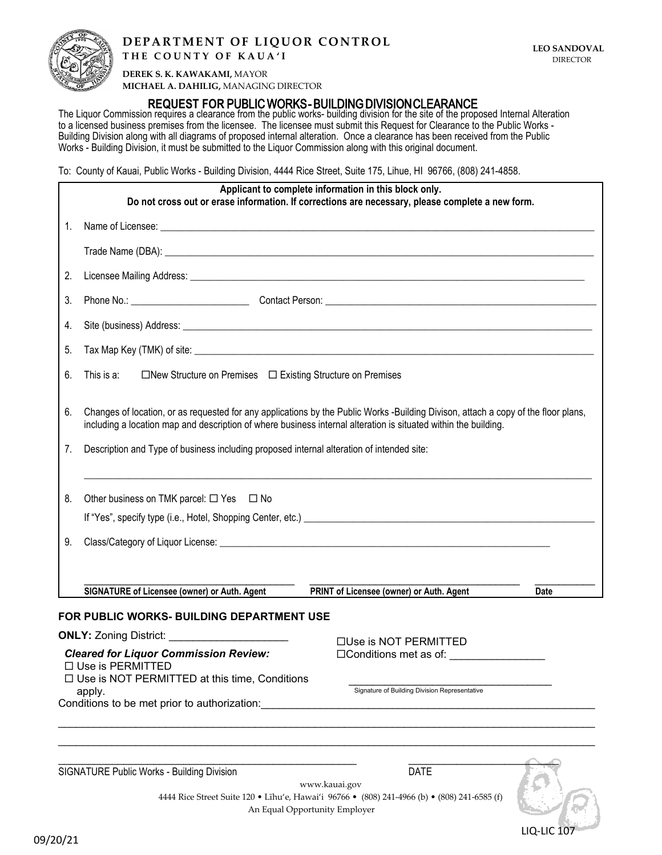

LIQ-LIC <sub>10</sub>

**DEREK S. K. KAWAKAMI,** MAYOR **MICHAEL A. DAHILIG,** MANAGING DIRECTOR

### **REQUEST FOR** PUBLIC WORKS - BUILDING DIVISION CLEARANCE

The Liquor Commission requires a clearance from the public works- building division for the site of the proposed Internal Alteration to a licensed business premises from the licensee. The licensee must submit this Request for Clearance to the Public Works - Building Division along with all diagrams of proposed internal alteration. Once a clearance has been received from the Public Works - Building Division, it must be submitted to the Liquor Commission along with this original document.

To: County of Kauai, Public Works - Building Division, 4444 Rice Street, Suite 175, Lihue, HI 96766, (808) 241-4858.

|                                              | Applicant to complete information in this block only.<br>Do not cross out or erase information. If corrections are necessary, please complete a new form.                                                                                             |  |
|----------------------------------------------|-------------------------------------------------------------------------------------------------------------------------------------------------------------------------------------------------------------------------------------------------------|--|
| 1.                                           |                                                                                                                                                                                                                                                       |  |
|                                              |                                                                                                                                                                                                                                                       |  |
| 2.                                           |                                                                                                                                                                                                                                                       |  |
| 3.                                           |                                                                                                                                                                                                                                                       |  |
| 4.                                           |                                                                                                                                                                                                                                                       |  |
| 5.                                           |                                                                                                                                                                                                                                                       |  |
| 6.                                           | □New Structure on Premises □ Existing Structure on Premises<br>This is a:                                                                                                                                                                             |  |
| 6.                                           | Changes of location, or as requested for any applications by the Public Works -Building Divison, attach a copy of the floor plans,<br>including a location map and description of where business internal alteration is situated within the building. |  |
| 7.                                           | Description and Type of business including proposed internal alteration of intended site:                                                                                                                                                             |  |
| 8.                                           | Other business on TMK parcel: $\Box$ Yes $\Box$ No                                                                                                                                                                                                    |  |
|                                              |                                                                                                                                                                                                                                                       |  |
| 9.                                           |                                                                                                                                                                                                                                                       |  |
|                                              |                                                                                                                                                                                                                                                       |  |
|                                              | <b>SIGNATURE of Licensee (owner) or Auth. Agent</b><br>PRINT of Licensee (owner) or Auth. Agent<br><b>Date</b>                                                                                                                                        |  |
|                                              | FOR PUBLIC WORKS- BUILDING DEPARTMENT USE                                                                                                                                                                                                             |  |
|                                              | ONLY: Zoning District: ______________________<br>$\Box$ Use is NOT PERMITTED                                                                                                                                                                          |  |
|                                              | <b>Cleared for Liquor Commission Review:</b><br>$\square$ Conditions met as of:                                                                                                                                                                       |  |
|                                              | □ Use is PERMITTED<br>$\Box$ Use is NOT PERMITTED at this time, Conditions                                                                                                                                                                            |  |
|                                              | Signature of Building Division Representative<br>apply.                                                                                                                                                                                               |  |
| Conditions to be met prior to authorization: |                                                                                                                                                                                                                                                       |  |
|                                              |                                                                                                                                                                                                                                                       |  |
|                                              |                                                                                                                                                                                                                                                       |  |
|                                              | SIGNATURE Public Works - Building Division<br><b>DATE</b>                                                                                                                                                                                             |  |

www.kauai.gov 4444 Rice Street Suite 120 • Līhu'e, Hawai'i 96766 • (808) 241-4966 (b) • (808) 241-6585 (f) An Equal Opportunity Employer